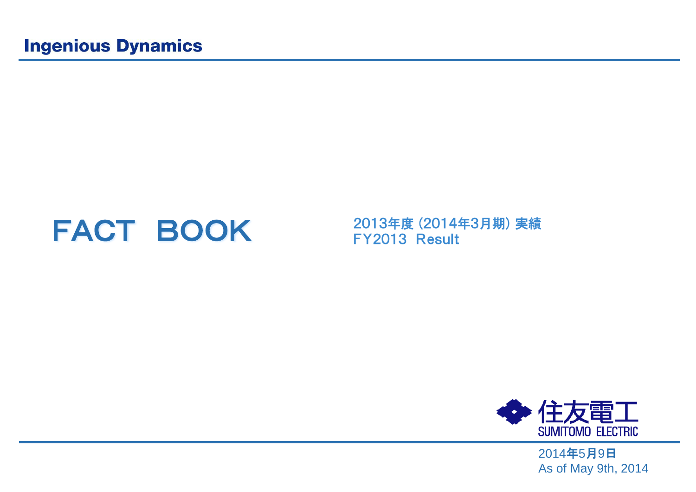# FACT BOOK 2013年度 (2014年3月期) 実績<br>FY2013 Result



2014年5月9日 As of May 9th, 2014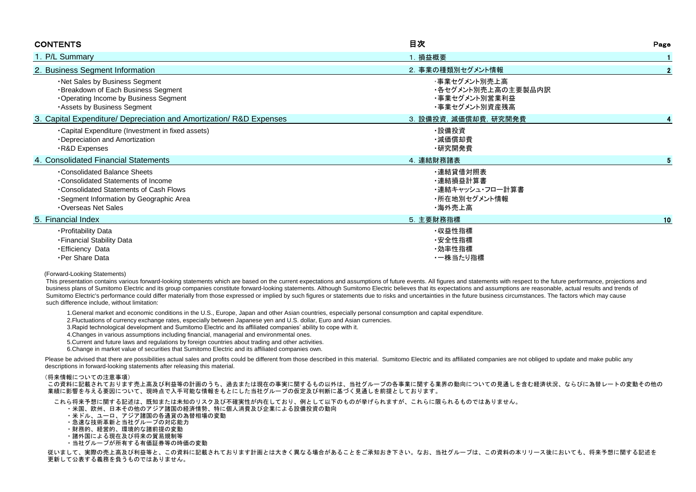| <b>CONTENTS</b>                                                                                                                                                             | 目次                                                                   | Page         |
|-----------------------------------------------------------------------------------------------------------------------------------------------------------------------------|----------------------------------------------------------------------|--------------|
| 1. P/L Summary                                                                                                                                                              | 1. 損益概要                                                              |              |
| 2. Business Segment Information                                                                                                                                             | 2. 事業の種類別セグメント情報                                                     | $\mathbf{2}$ |
| . Net Sales by Business Segment<br>·Breakdown of Each Business Segment<br>Operating Income by Business Segment<br>Assets by Business Segment                                | ・事業セグメント別売上高<br>・各セグメント別売上高の主要製品内訳<br>・事業セグメント別営業利益<br>・事業セグメント別資産残高 |              |
| 3. Capital Expenditure/ Depreciation and Amortization/ R&D Expenses                                                                                                         | 3. 設備投資, 減価償却費, 研究開発費                                                |              |
| •Capital Expenditure (Investment in fixed assets)<br>•Depreciation and Amortization<br>R&D Expenses                                                                         | ·設備投資<br>・減価償却費<br>・研究開発費                                            |              |
| 4. Consolidated Financial Statements                                                                                                                                        | 4. 連結財務諸表                                                            |              |
| Consolidated Balance Sheets<br>•Consolidated Statements of Income<br>Consolidated Statements of Cash Flows<br>·Segment Information by Geographic Area<br>Overseas Net Sales | ・連結貸借対照表<br>・連結損益計算書<br>・連結キャッシュ・フロー計算書<br>・所在地別セグメント情報<br>・海外売上高    |              |
| 5. Financial Index                                                                                                                                                          | 5. 主要財務指標                                                            | 10           |
| · Profitability Data<br>- Financial Stability Data<br><b>Efficiency Data</b><br>·Per Share Data                                                                             | ・収益性指標<br>・安全性指標<br>・効率性指標<br>・一株当たり指標                               |              |

### (Forward-Looking Statements)

 This presentation contains various forward-looking statements which are based on the current expectations and assumptions of future events. All figures and statements with respect to the future performance, projections and business plans of Sumitomo Electric and its group companies constitute forward-looking statements. Although Sumitomo Electric believes that its expectations and assumptions are reasonable, actual results and trends of Sumitomo Electric's performance could differ materially from those expressed or implied by such figures or statements due to risks and uncertainties in the future business circumstances. The factors which may cause such difference include, without limitation:

1.General market and economic conditions in the U.S., Europe, Japan and other Asian countries, especially personal consumption and capital expenditure.

2.Fluctuations of currency exchange rates, especially between Japanese yen and U.S. dollar, Euro and Asian currencies.

3.Rapid technological development and Sumitomo Electric and its affiliated companies' ability to cope with it.

4.Changes in various assumptions including financial, managerial and environmental ones.

5.Current and future laws and regulations by foreign countries about trading and other activities.

6.Change in market value of securities that Sumitomo Electric and its affiliated companies own.

Please be advised that there are possibilities actual sales and profits could be different from those described in this material. Sumitomo Electric and its affiliated companies are not obliged to update and make public any descriptions in forward-looking statements after releasing this material.

### (将来情報についての注意事項)

 この資料に記載されております売上高及び利益等の計画のうち、過去または現在の事実に関するもの以外は、当社グループの各事業に関する業界の動向についての見通しを含む経済状況、ならびに為替レートの変動その他の 業績に影響を与える要因について、現時点で入手可能な情報をもとにした当社グループの仮定及び判断に基づく見通しを前提としております。

これら将来予想に関する記述は、既知または未知のリスク及び不確実性が内在しており、例として以下のものが挙げられますが、これらに限られるものではありません。

- ・米国、欧州、日本その他のアジア諸国の経済情勢、特に個人消費及び企業による設備投資の動向
- ・米ドル、ユーロ、アジア諸国の各通貨の為替相場の変動
- ・急速な技術革新と当社グループの対応能力
- ・財務的、経営的、環境的な諸前提の変動
- ・諸外国による現在及び将来の貿易規制等
- ・当社グループが所有する有価証券等の時価の変動

 従いまして、実際の売上高及び利益等と、この資料に記載されております計画とは大きく異なる場合があることをご承知おき下さい。なお、当社グループは、この資料の本リリース後においても、将来予想に関する記述を 更新して公表する義務を負うものではありません。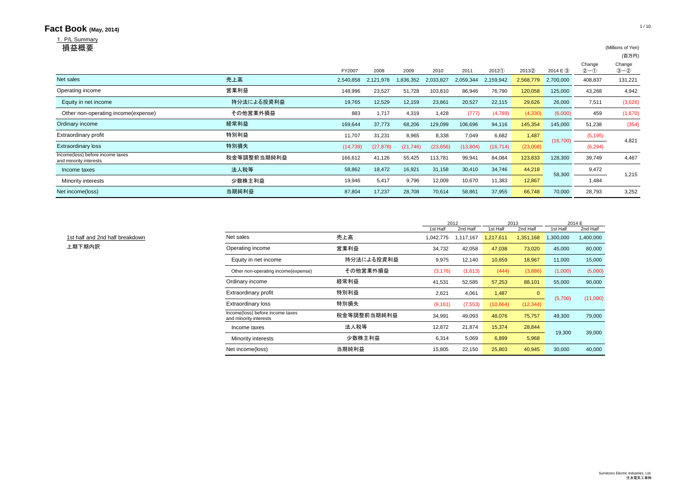#### **Fact Book** (May, 2014) **1/10** 1. P/L Summary<br>**損益概要** 損益概要 (Millions of Yen) (百万円) Change Change<br>  $(2)-()$   $(3)-()$ FY2007 2008 2009 2010 2011 2012① 2013② 2014 E ③ ②-① ③-② 2,540,858 2,121,978 1,836,352 2,033,827 2,059,344 2,159,942 2,568,779 2,700,000 408,837 131,221 148,996 23,527 51,728 103,810 86,946 76,790 120,058 125,000 43,268 4,942 Equity in net income 19,765 12,529 12,159 23,861 20,527 22,115 <mark>29,626</mark> 26,000 7,511 (3,626) Other non-operating income(expense) その他営業外損益 883 1,717 4,319 1,428 (777) (4,789) (4,330) (6,000) 459 (1,670) 169,644 37,773 68,206 129,099 106,696 94,116 145,354 145,000 51,238 (354) 11,707 31,231 8,965 8,338 7,049 6,682 <mark>1,487</mark> (5,195) (14,739) (27,878) (21,746) (23,656) (13,804) (16,714) (23,008) (6,294) 166,612 41,126 55,425 113,781 99,941 84,084 123,833 128,300 39,749 4,467 Income taxes 法人税等 58,862 18,472 16,921 31,158 30,410 34,746 <mark> 44,218</mark> 9,472 Minority interests 少数株主利益 19,946 5,417 9,796 12,009 10,670 11,383 **12,867** 1,484 4,821 1,215 58,300 (16,700) 売上高 営業利益 Net sales Operating income Extraordinary loss **Extraordinary profit インタン しゅうしょう しゅうしょう おおおお しゅうしょう しゅうしょう ちょうしょう しょうしょう** しょうしょう 経常利益 Ordinary income **Income(loss)** before income taxes<br>and minority interests and minority interests 特別損失 当期純利益

Net income(loss) 当期純利益 87,804 17,237 28,708 70,614 58,861 37,955 <mark>66,748</mark> 70,000 28,793 3,252

|                                 |                                                            |             |           | 2012      |           | 2013         | 2014 E    |           |
|---------------------------------|------------------------------------------------------------|-------------|-----------|-----------|-----------|--------------|-----------|-----------|
|                                 |                                                            |             | 1st Half  | 2nd Half  | 1st Half  | 2nd Half     | 1st Half  | 2nd Half  |
| 1st half and 2nd half breakdown | Net sales                                                  | 売上高         | 1,042,775 | 1,117,167 | 1,217,611 | 1,351,168    | 1,300,000 | 1,400,000 |
| 上期下期内訳                          | Operating income                                           | 営業利益        | 34,732    | 42,058    | 47,038    | 73,020       | 45,000    | 80,000    |
|                                 | Equity in net income                                       | 持分法による投資利益  | 9,975     | 12,140    | 10,659    | 18,967       | 11,000    | 15,000    |
|                                 | Other non-operating income(expense)                        | その他営業外損益    | (3, 176)  | (1,613)   | (444)     | (3,886)      | (1,000)   | (5,000)   |
|                                 | Ordinary income                                            | 経常利益        | 41,531    | 52,585    | 57,253    | 88,101       | 55,000    | 90,000    |
|                                 | <b>Extraordinary profit</b>                                | 特別利益        | 2,621     | 4,061     | 1,487     | $\mathbf{0}$ | (5,700)   | (11,000)  |
|                                 | <b>Extraordinary loss</b>                                  | 特別損失        | (9, 161)  | (7, 553)  | (10,664)  | (12, 344)    |           |           |
|                                 | Income(loss) before income taxes<br>and minority interests | 税金等調整前当期純利益 | 34,991    | 49,093    | 48,076    | 75,757       | 49,300    | 79,000    |
|                                 | Income taxes                                               | 法人税等        | 12,872    | 21,874    | 15,374    | 28,844       | 19,300    | 39,000    |
|                                 | Minority interests                                         | 少数株主利益      | 6,314     | 5,069     | 6,899     | 5,968        |           |           |
|                                 | Net income(loss)                                           | 当期純利益       | 15,805    | 22,150    | 25,803    | 40,945       | 30,000    | 40,000    |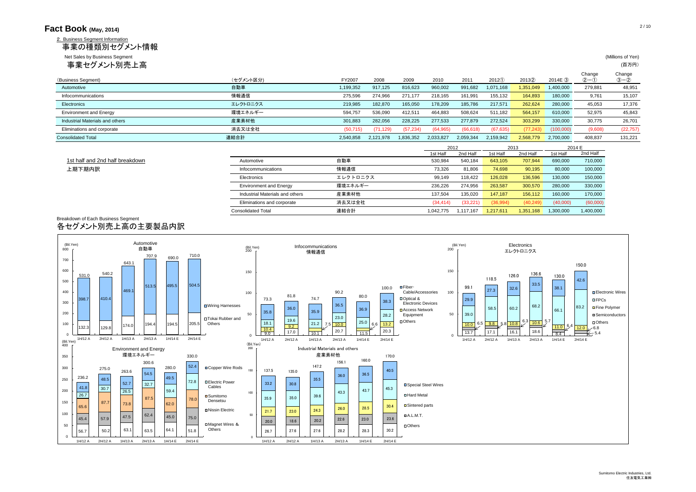| Fact Book (May, 2014)                                                                            |                                 |           |           |           |           |                  |           |                  |           |                       | 2/10                       |
|--------------------------------------------------------------------------------------------------|---------------------------------|-----------|-----------|-----------|-----------|------------------|-----------|------------------|-----------|-----------------------|----------------------------|
| 2. Business Seament Information<br>事業の種類別セグメント情報<br>Net Sales by Business Segment<br>事業セグメント別売上高 |                                 |           |           |           |           |                  |           |                  |           |                       | (Millions of Yen)<br>(百万円) |
| (Business Segment)                                                                               | (セグメント区分)                       | FY2007    | 2008      | 2009      | 2010      | 2011             | 2012(1)   | 20132            | 2014E 3   | Change<br>$(2) - (1)$ | Change<br>$(3 - 2)$        |
| Automotive                                                                                       | 自動車                             | 1,199,352 | 917,125   | 816,623   | 960,002   | 991,682          | 1,071,168 | 1,351,049        | ,400,000  | 279,881               | 48,951                     |
| Infocommunications                                                                               | 情報通信                            | 275,596   | 274,966   | 271,177   | 218,165   | 161,991          | 155,132   | 164,893          | 180,000   | 9,761                 | 15,107                     |
| Electronics                                                                                      | エレクトロニクス                        | 219,985   | 182,870   | 165,050   | 178,209   | 185,786          | 217,571   | 262,624          | 280,000   | 45,053                | 17,376                     |
| <b>Environment and Energy</b>                                                                    | 環境エネルギー                         | 594,757   | 536,090   | 412,511   | 464,883   | 508,624          | 511,182   | 564,157          | 610,000   | 52,975                | 45,843                     |
| Industrial Materials and others                                                                  | 産業素材他                           | 301,883   | 282,056   | 228,225   | 277,533   | 277,879          | 272,524   | 303,299          | 330,000   | 30,775                | 26,701                     |
| Eliminations and corporate                                                                       | 消去又は全社                          | (50, 715) | (71, 129) | (57, 234) | (64, 965) | (66, 618)        | (67, 635) | (77, 243)        | (100,000) | (9,608)               | (22, 757)                  |
| <b>Consolidated Total</b>                                                                        | 連結合計                            | 2,540,858 | 2,121,978 | 1,836,352 | 2,033,827 | 2,059,344        | 2,159,942 | 2,568,779        | 2,700,000 | 408.837               | 131,221                    |
|                                                                                                  |                                 |           |           |           | 1st Half  | 2012<br>2nd Half | 1st Half  | 2013<br>2nd Half | 1st Half  | 2014 E<br>2nd Half    |                            |
| 1st half and 2nd half breakdown                                                                  | Automotive                      | 自動車       |           |           | 530,984   | 540,184          | 643,105   | 707,944          | 690,000   | 710,000               |                            |
| 上期下期内訳                                                                                           | Infocommunications              | 情報通信      |           |           | 73,326    | 81,806           | 74,698    | 90,195           | 80,000    | 100,000               |                            |
|                                                                                                  | Electronics                     | エレクトロニクス  |           |           | 99,149    | 118,422          | 126,028   | 136,596          | 130,000   | 150,000               |                            |
|                                                                                                  | <b>Environment and Energy</b>   | 環境エネルギー   |           |           | 236,226   | 274,956          | 263,587   | 300,570          | 280,000   | 330,000               |                            |
|                                                                                                  | Industrial Materials and others | 産業素材他     |           |           | 137,504   | 135,020          | 147.187   | 156.112          | 160,000   | 170,000               |                            |

Eliminations and corporate 消去又は全社 (34,414) (33,221) (36,994) (40,249) (40,000) (60,000) Consolidated Total 連結合計 1,042,775 1,117,167 1,217,611 1,351,168 1,300,000 1,400,000

### Breakdown of Each Business Segment 各セグメント別売上高の主要製品内訳

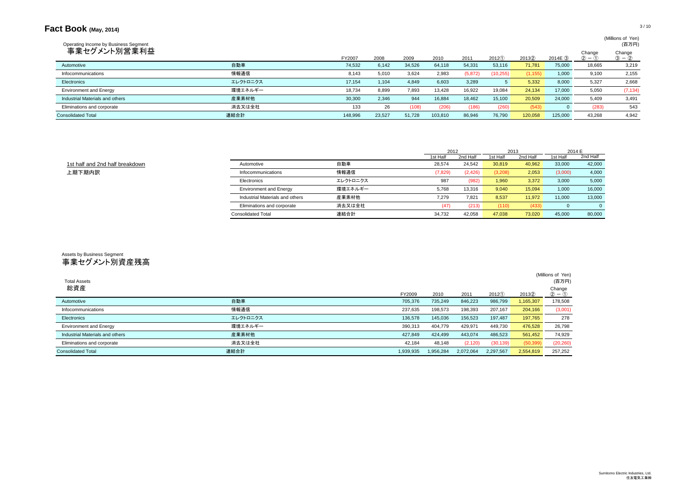# **Fact Book** (May, 2014) 3/10

# (Millions of Yen)<br>(프도픽)

| Operating Income by Business Segment |          |         |        |        |         |          |           |          |          |                   | (百万円)                 |
|--------------------------------------|----------|---------|--------|--------|---------|----------|-----------|----------|----------|-------------------|-----------------------|
| 事業セグメント別営業利益                         |          | FY2007  | 2008   | 2009   | 2010    | 2011     | 2012()    | 20132    | 2014E(3) | Change<br>$(2) -$ | Change<br>$(3) - (2)$ |
| Automotive                           | 自動車      | 74,532  | 6,142  | 34,526 | 64,118  | 54,331   | 53,116    | 71,781   | 75,000   | 18,665            | 3,219                 |
| Infocommunications                   | 情報通信     | 8,143   | 5,010  | 3,624  | 2,983   | (5, 872) | (10, 255) | (1, 155) | 1,000    | 9,100             | 2,155                 |
| Electronics                          | エレクトロニクス | 17,154  | 1,104  | 4,849  | 6,603   | 3,289    |           | 5,332    | 8,000    | 5,327             | 2,668                 |
| <b>Environment and Energy</b>        | 環境エネルギー  | 18,734  | 8,899  | 7,893  | 13,428  | 16,922   | 19,084    | 24,134   | 17,000   | 5,050             | (7, 134)              |
| Industrial Materials and others      | 産業素材他    | 30,300  | 2,346  | 944    | 16,884  | 18,462   | 15,100    | 20,509   | 24,000   | 5,409             | 3,491                 |
| Eliminations and corporate           | 消去又は全社   | 133     | 26     | (108)  | (206)   | (186)    | (260)     | (543)    |          | (283)             | 543                   |
| <b>Consolidated Total</b>            | 連結合計     | 148,996 | 23,527 | 51,728 | 103,810 | 86,946   | 76,790    | 120,058  | 125,000  | 43.268            | 4,942                 |

|                                 |                                 |          | 2012     |          | 2013     |          |          | 2014 E   |
|---------------------------------|---------------------------------|----------|----------|----------|----------|----------|----------|----------|
|                                 |                                 |          | 1st Half | 2nd Half | 1st Half | 2nd Half | 1st Half | 2nd Half |
| 1st half and 2nd half breakdown | Automotive                      | 自動車      | 28,574   | 24,542   | 30,819   | 40,962   | 33,000   | 42,000   |
| 上期下期内訳                          | Infocommunications              | 情報通信     | (7, 829) | (2, 426) | (3,208)  | 2,053    | (3,000)  | 4,000    |
|                                 | Electronics                     | エレクトロニクス | 987      | (982)    | 1,960    | 3,372    | 3,000    | 5,000    |
|                                 | <b>Environment and Energy</b>   | 環境エネルギー  | 5,768    | 13,316   | 9,040    | 15,094   | 1,000    | 16,000   |
|                                 | Industrial Materials and others | 産業素材他    | 7.279    | 7,821    | 8,537    | 11,972   | 11.000   | 13,000   |
|                                 | Eliminations and corporate      | 消去又は全社   | (47      | (213)    | (110)    | (433)    |          |          |
|                                 | <b>Consolidated Total</b>       | 連結合計     | 34,732   | 42,058   | 47,038   | 73,020   | 45,000   | 80,000   |

# Assets by Business Segment 事業セグメント別資産残高

|                                 |          |           |           |           |           |           | (Millions of Yen) |
|---------------------------------|----------|-----------|-----------|-----------|-----------|-----------|-------------------|
| <b>Total Assets</b>             |          |           |           |           |           |           | (百万円)             |
| 総資産                             |          |           |           |           |           |           | Change            |
|                                 |          | FY2009    | 2010      | 2011      | 2012(1)   | 20132     | $2 - 0$           |
| Automotive                      | 自動車      | 705,376   | 735,249   | 846,223   | 986,799   | 1,165,307 | 178,508           |
| Infocommunications              | 情報通信     | 237,635   | 198,573   | 198,393   | 207,167   | 204,166   | (3,001)           |
| Electronics                     | エレクトロニクス | 136,578   | 145,036   | 156,523   | 197,487   | 197,765   | 278               |
| <b>Environment and Energy</b>   | 環境エネルギー  | 390,313   | 404.779   | 429,971   | 449,730   | 476,528   | 26,798            |
| Industrial Materials and others | 産業素材他    | 427.849   | 424.499   | 443,074   | 486,523   | 561,452   | 74,929            |
| Eliminations and corporate      | 消去又は全社   | 42,184    | 48,148    | (2, 120)  | (30, 139) | (50, 399) | (20, 260)         |
| <b>Consolidated Total</b>       | 連結合計     | 1.939.935 | 1.956.284 | 2.072.064 | 2,297,567 | 2,554,819 | 257.252           |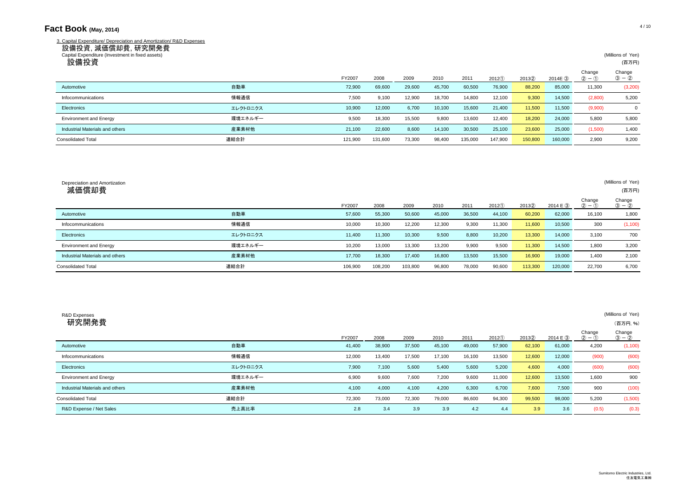## **Fact Book** (May, 2014) 4/10

|                    | 3. Capital Expenditure/ Depreciation and Amortization/ R&D Expenses |  |
|--------------------|---------------------------------------------------------------------|--|
| 設備投資, 減価償却費, 研究開発費 |                                                                     |  |

| Capital Expenditure (Investment in fixed assets)<br>設備投資 |          |         |         |        |        |         |         |         |          |                       | (Millions of Yen)<br>(百万円) |
|----------------------------------------------------------|----------|---------|---------|--------|--------|---------|---------|---------|----------|-----------------------|----------------------------|
|                                                          |          | FY2007  | 2008    | 2009   | 2010   | 2011    | 2012(1) | 2013(2) | 2014E(3) | Change<br>$(2) - (1)$ | Change<br>$(3 - 2)$        |
| Automotive                                               | 自動車      | 72,900  | 69,600  | 29,600 | 45,700 | 60,500  | 76,900  | 88,200  | 85,000   | 11,300                | (3,200)                    |
| Infocommunications                                       | 情報通信     | 7,500   | 9,100   | 12,900 | 18,700 | 14,800  | 12,100  | 9,300   | 14,500   | (2,800)               | 5,200                      |
| Electronics                                              | エレクトロニクス | 10,900  | 12,000  | 6,700  | 10,100 | 15,600  | 21,400  | 11,500  | 11,500   | (9,900)               | $\mathbf 0$                |
| <b>Environment and Energy</b>                            | 環境エネルギー  | 9,500   | 18,300  | 15,500 | 9,800  | 13,600  | 12,400  | 18,200  | 24,000   | 5,800                 | 5,800                      |
| Industrial Materials and others                          | 産業素材他    | 21,100  | 22,600  | 8,600  | 14,100 | 30,500  | 25,100  | 23,600  | 25,000   | (1,500)               | 1,400                      |
| <b>Consolidated Total</b>                                | 連結合計     | 121,900 | 131,600 | 73,300 | 98,400 | 135,000 | 147,900 | 150,800 | 160,000  | 2,900                 | 9,200                      |

| Depreciation and Amortization<br>減価償却費 |          |         |         |         |        |        |         |         |          |                     | (Millions of Yen)<br>(百万円) |
|----------------------------------------|----------|---------|---------|---------|--------|--------|---------|---------|----------|---------------------|----------------------------|
|                                        |          | FY2007  | 2008    | 2009    | 2010   | 2011   | 2012(1) | 20132   | 2014 E 3 | Change<br>$(2) - ($ | Change<br>$(3) - (2)$      |
| Automotive                             | 自動車      | 57,600  | 55,300  | 50,600  | 45,000 | 36,500 | 44,100  | 60,200  | 62,000   | 16,100              | 1,800                      |
| Infocommunications                     | 情報通信     | 10,000  | 10,300  | 12,200  | 12,300 | 9.300  | 11,300  | 11,600  | 10,500   | 300                 | (1,100)                    |
| Electronics                            | エレクトロニクス | 11,400  | 11,300  | 10,300  | 9,500  | 8,800  | 10,200  | 13,300  | 14,000   | 3,100               | 700                        |
| <b>Environment and Energy</b>          | 環境エネルギー  | 10,200  | 13,000  | 13,300  | 13,200 | 9,900  | 9,500   | 11,300  | 14,500   | 1.800               | 3,200                      |
| Industrial Materials and others        | 産業素材他    | 17,700  | 18,300  | 17,400  | 16,800 | 13,500 | 15,500  | 16,900  | 19,000   | 1,400               | 2,100                      |
| <b>Consolidated Total</b>              | 連結合計     | 106,900 | 108,200 | 103,800 | 96,800 | 78,000 | 90,600  | 113,300 | 120,000  | 22,700              | 6,700                      |

| R&D Expenses<br>研究開発費           |          |        |        |        |        |        |        |        |          |                       | (Millions of Yen)<br>(百万円,%) |
|---------------------------------|----------|--------|--------|--------|--------|--------|--------|--------|----------|-----------------------|------------------------------|
|                                 |          | FY2007 | 2008   | 2009   | 2010   | 2011   | 2012() | 20132  | 2014 E 3 | Change<br>$(2) - (1)$ | Change<br>$(3) - (2)$        |
| Automotive                      | 自動車      | 41,400 | 38,900 | 37,500 | 45,100 | 49,000 | 57,900 | 62,100 | 61,000   | 4,200                 | (1,100)                      |
| Infocommunications              | 情報通信     | 12,000 | 13,400 | 17,500 | 17,100 | 16,100 | 13,500 | 12,600 | 12,000   | (900)                 | (600)                        |
| Electronics                     | エレクトロニクス | 7,900  | 7,100  | 5,600  | 5,400  | 5,600  | 5,200  | 4,600  | 4,000    | (600)                 | (600)                        |
| <b>Environment and Energy</b>   | 環境エネルギー  | 6,900  | 9,600  | 7,600  | 7,200  | 9,600  | 11,000 | 12,600 | 13,500   | 1,600                 | 900                          |
| Industrial Materials and others | 産業素材他    | 4,100  | 4,000  | 4,100  | 4,200  | 6,300  | 6,700  | 7,600  | 7,500    | 900                   | (100)                        |
| <b>Consolidated Total</b>       | 連結合計     | 72,300 | 73,000 | 72,300 | 79,000 | 86,600 | 94,300 | 99,500 | 98,000   | 5,200                 | (1,500)                      |
| R&D Expense / Net Sales         | 売上高比率    | 2.8    | 3.4    | 3.9    | 3.9    | 4.2    | 4.4    | 3.9    | 3.6      | (0.5)                 | (0.3)                        |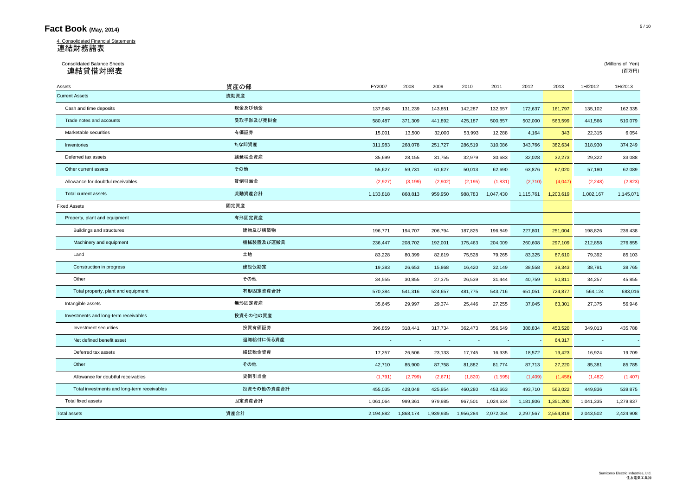## **Fact Book** (May, 2014) 5/10

4. Consolidated Financial Statements 連結財務諸表

# Consolidated Balance Sheets (Millions of Yen) 連結貸借対照表 (百万円)

| Assets                                      | 資産の部       | FY2007    | 2008      | 2009      | 2010      | 2011      | 2012      | 2013      | 1H/2012   | 1H/2013   |
|---------------------------------------------|------------|-----------|-----------|-----------|-----------|-----------|-----------|-----------|-----------|-----------|
| <b>Current Assets</b>                       | 流動資産       |           |           |           |           |           |           |           |           |           |
| Cash and time deposits                      | 現金及び預金     | 137,948   | 131,239   | 143,851   | 142,287   | 132,657   | 172,637   | 161,797   | 135,102   | 162,335   |
| Trade notes and accounts                    | 受取手形及び売掛金  | 580,487   | 371,309   | 441,892   | 425,187   | 500,857   | 502,000   | 563,599   | 441,566   | 510,079   |
| Marketable securities                       | 有価証券       | 15,001    | 13,500    | 32,000    | 53,993    | 12,288    | 4,164     | 343       | 22,315    | 6,054     |
| Inventories                                 | たな卸資産      | 311,983   | 268,078   | 251,727   | 286,519   | 310,086   | 343,766   | 382,634   | 318,930   | 374,249   |
| Deferred tax assets                         | 繰延税金資産     | 35,699    | 28,155    | 31,755    | 32,979    | 30,683    | 32,028    | 32,273    | 29,322    | 33,088    |
| Other current assets                        | その他        | 55,627    | 59,731    | 61,627    | 50,013    | 62,690    | 63,876    | 67,020    | 57,180    | 62,089    |
| Allowance for doubtful receivables          | 貸倒引当金      | (2,927)   | (3, 199)  | (2,902)   | (2, 195)  | (1,831)   | (2,710)   | (4,047)   | (2, 248)  | (2,823)   |
| Total current assets                        | 流動資産合計     | 1,133,818 | 868.813   | 959.950   | 988.783   | 1,047,430 | 1,115,761 | 1,203,619 | 1,002,167 | 1,145,071 |
| <b>Fixed Assets</b>                         | 固定資産       |           |           |           |           |           |           |           |           |           |
| Property, plant and equipment               | 有形固定資産     |           |           |           |           |           |           |           |           |           |
| Buildings and structures                    | 建物及び構築物    | 196,771   | 194,707   | 206,794   | 187,825   | 196,849   | 227,801   | 251,004   | 198,826   | 236,438   |
| Machinery and equipment                     | 機械装置及び運搬具  | 236,447   | 208,702   | 192,001   | 175,463   | 204,009   | 260,608   | 297,109   | 212,858   | 276,855   |
| Land                                        | 土地         | 83,228    | 80,399    | 82,619    | 75,528    | 79,265    | 83,325    | 87,610    | 79,392    | 85,103    |
| Construction in progress                    | 建設仮勘定      | 19,383    | 26,653    | 15,868    | 16,420    | 32,149    | 38,558    | 38,343    | 38,791    | 38,765    |
| Other                                       | その他        | 34,555    | 30,855    | 27,375    | 26,539    | 31,444    | 40,759    | 50,811    | 34,257    | 45,855    |
| Total property, plant and equipment         | 有形固定資産合計   | 570,384   | 541,316   | 524,657   | 481,775   | 543,716   | 651,051   | 724,877   | 564,124   | 683,016   |
| Intangible assets                           | 無形固定資産     | 35,645    | 29,997    | 29,374    | 25,446    | 27,255    | 37,045    | 63,301    | 27,375    | 56,946    |
| Investments and long-term receivables       | 投資その他の資産   |           |           |           |           |           |           |           |           |           |
| Investment securities                       | 投資有価証券     | 396,859   | 318,441   | 317,734   | 362,473   | 356,549   | 388,834   | 453,520   | 349,013   | 435,788   |
| Net defined benefit asset                   | 退職給付に係る資産  |           |           |           |           |           |           | 64,317    | $\sim$    |           |
| Deferred tax assets                         | 繰延税金資産     | 17,257    | 26,506    | 23,133    | 17,745    | 16,935    | 18,572    | 19,423    | 16,924    | 19,709    |
| Other                                       | その他        | 42,710    | 85,900    | 87,758    | 81,882    | 81,774    | 87,713    | 27,220    | 85,381    | 85,785    |
| Allowance for doubtful receivables          | 貸倒引当金      | (1,791)   | (2,799)   | (2,671)   | (1,820)   | (1,595)   | (1,409)   | (1,458)   | (1,482)   | (1, 407)  |
| Total investments and long-term receivables | 投資その他の資産合計 | 455,035   | 428,048   | 425,954   | 460,280   | 453,663   | 493,710   | 563,022   | 449,836   | 539,875   |
| Total fixed assets                          | 固定資産合計     | 1,061,064 | 999,361   | 979,985   | 967,501   | 1,024,634 | 1,181,806 | 1,351,200 | 1,041,335 | 1,279,837 |
| <b>Total assets</b>                         | 資産合計       | 2,194,882 | 1,868,174 | 1,939,935 | 1,956,284 | 2,072,064 | 2,297,567 | 2,554,819 | 2,043,502 | 2,424,908 |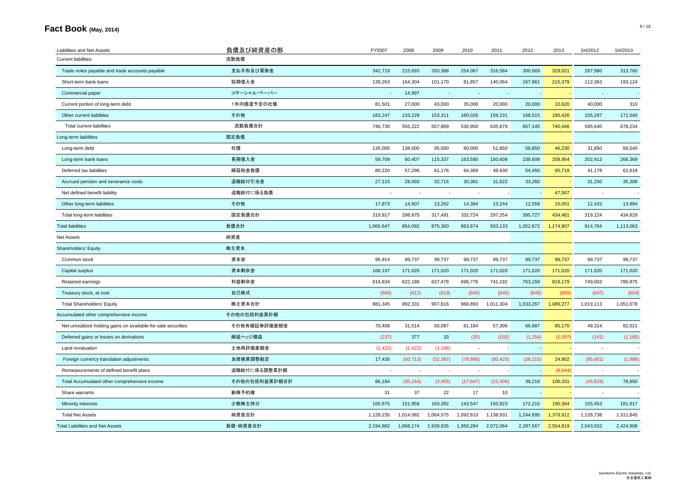# **Fact Book** (May, 2014) 6/10

| Liabilities and Net Assets                                    | 負債及び純資産の部     | FY2007    | 2008      | 2009      | 2010      | 2011      | 2012      | 2013      | 1H/2012   | 1H/2013   |
|---------------------------------------------------------------|---------------|-----------|-----------|-----------|-----------|-----------|-----------|-----------|-----------|-----------|
| <b>Current liabilities</b>                                    | 流動負債          |           |           |           |           |           |           |           |           |           |
| Trade notes payable and trade accounts payable                | 支払手形及び買掛金     | 342,719   | 215,693   | 260,388   | 254,067   | 316,584   | 300,669   | 329,021   | 287,980   | 313,760   |
| Short-term bank loans                                         | 短期借入金         | 139,263   | 164,304   | 101,170   | 81,857    | 140,064   | 167,961   | 215,379   | 112,363   | 193,124   |
| Commercial paper                                              | コマーシャル・ペーパー   |           | 14,997    |           |           |           |           |           |           |           |
| Current portion of long-term debt                             | 1年内償還予定の社債    | 81,501    | 27,000    | 43,000    | 35,000    | 20,000    | 20,000    | 10,620    | 40,000    | 310       |
| Other current liabilities                                     | その他           | 183,247   | 133,228   | 153,311   | 160,026   | 159,231   | 168,515   | 185,426   | 155,297   | 171,040   |
| <b>Total current liabilities</b>                              | 流動負債合計        | 746,730   | 555,222   | 557,869   | 530,950   | 635,879   | 657,145   | 740,446   | 595,640   | 678,234   |
| Long-term liabilities                                         | 固定負債          |           |           |           |           |           |           |           |           |           |
| Long-term debt                                                | 社債            | 135,000   | 138,000   | 95,000    | 60,000    | 51,850    | 56,850    | 46,230    | 31,850    | 56,540    |
| Long-term bank loans                                          | 長期借入金         | 59,709    | 60,407    | 115,337   | 163,590   | 150,608   | 238,608   | 258,954   | 202,413   | 266,369   |
| Deferred tax liabilities                                      | 繰延税金負債        | 80,220    | 57,296    | 61,176    | 64,369    | 49,930    | 54,450    | 65,719    | 41,178    | 62,618    |
| Accrued pension and severance costs                           | 退職給付引当金       | 27,115    | 28,560    | 32,716    | 30,381    | 31,622    | 33,260    |           | 31,250    | 35,308    |
| Net defined benefit liability                                 | 退職給付に係る負債     |           |           |           |           |           |           | 47,507    |           |           |
| Other long-term liabilities                                   | その他           | 17,873    | 14,607    | 13,262    | 14,384    | 13,244    | 12,559    | 16,051    | 12,433    | 13,994    |
| Total long-term liabilities                                   | 固定負債合計        | 319,917   | 298,870   | 317,491   | 332,724   | 297,254   | 395,727   | 434,461   | 319,124   | 434,829   |
| <b>Total liabilities</b>                                      | 負債合計          | 1,066,647 | 854,092   | 875,360   | 863,674   | 933,133   | 1,052,872 | 1,174,907 | 914,764   | 1,113,063 |
| Net Assets                                                    | 純資産           |           |           |           |           |           |           |           |           |           |
| Shareholders' Equity                                          | 株主資本          |           |           |           |           |           |           |           |           |           |
| Common stock                                                  | 資本金           | 96,914    | 99,737    | 99,737    | 99,737    | 99,737    | 99,737    | 99,737    | 99,737    | 99,737    |
| Capital surplus                                               | 資本剰余金         | 168,197   | 171,020   | 171,020   | 171,020   | 171,020   | 171,020   | 171,020   | 171,020   | 171,020   |
| Retained earnings                                             | 利益剰余金         | 616,834   | 622,186   | 637,478   | 696,776   | 741,192   | 763,159   | 819,179   | 749,003   | 780,975   |
| Treasury stock, at cost                                       | 自己株式          | (600)     | (612)     | (619)     | (640)     | (645)     | (649)     | (659)     | (647)     | (654)     |
| <b>Total Shareholders' Equity</b>                             | 株主資本合計        | 881,345   | 892,331   | 907,616   | 966,893   | 1,011,304 | 1,033,267 | 1,089,277 | 1,019,113 | 1,051,078 |
| Accumulated other comprehensive income                        | その他の包括利益累計額   |           |           |           |           |           |           |           |           |           |
| Net unrealized holding gains on available-for-sale securities | その他有価証券評価差額金  | 70,408    | 31,514    | 50,087    | 61,184    | 57,306    | 66,687    | 85,170    | 49,314    | 82,021    |
| Deferred gains or losses on derivatives                       | 繰延ヘッジ損益       | (237)     | 377       | 33        | (35)      | (192)     | (1, 254)  | (1,097)   | (141)     | (1, 185)  |
| Land revaluation                                              | 土地再評価差額金      | (1, 422)  | (1, 422)  | (1, 188)  |           |           |           |           | $\sim$    |           |
| Foreign currency translation adjustments                      | 為替換算調整勘定      | 17,435    | (60, 713) | (52, 387) | (78,996)  | (80, 420) | (26, 215) | 24,902    | (95,001)  | (1,986)   |
| Remeasurements of defined benefit plans                       | 退職給付に係る調整累計額  |           |           |           |           |           |           | (8,644)   |           |           |
| Total Accumulated other comprehensive income                  | その他の包括利益累計額合計 | 86,184    | (30, 244) | (3, 455)  | (17, 847) | (23, 306) | 39,218    | 100,331   | (45, 828) | 78,850    |
| Share warrants                                                | 新株予約権         | 31        | 37        | 22        | 17        | 10        |           |           |           |           |
| Minority interests                                            | 少数株主持分        | 160,675   | 151,958   | 160,392   | 143,547   | 150,923   | 172,210   | 190,304   | 155,453   | 181,917   |
| <b>Total Net Assets</b>                                       | 純資産合計         | 1,128,235 | 1,014,082 | 1,064,575 | 1,092,610 | 1,138,931 | 1,244,695 | 1,379,912 | 1,128,738 | 1,311,845 |
| <b>Total Liabilities and Net Assets</b>                       | 負債 純資産合計      | 2,194,882 | 1,868,174 | 1,939,935 | 1,956,284 | 2,072,064 | 2,297,567 | 2,554,819 | 2,043,502 | 2,424,908 |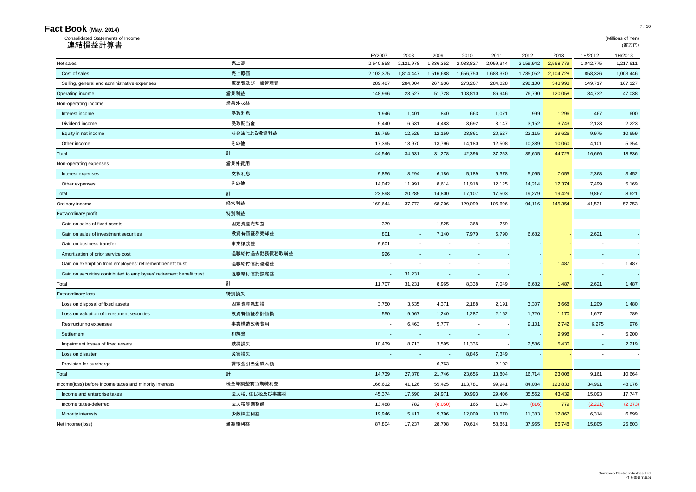| Consolidated Statements of Income                                     |               |                |           |                          |           |                     |           |           |                          | (Millions of Yen) |
|-----------------------------------------------------------------------|---------------|----------------|-----------|--------------------------|-----------|---------------------|-----------|-----------|--------------------------|-------------------|
| 連結損益計算書                                                               |               |                |           |                          |           |                     |           |           |                          | (百万円)             |
|                                                                       |               | FY2007         | 2008      | 2009                     | 2010      | 2011                | 2012      | 2013      | 1H/2012                  | 1H/2013           |
| Net sales                                                             | 売上高           | 2,540,858      | 2,121,978 | 1,836,352                | 2,033,827 | 2,059,344           | 2,159,942 | 2,568,779 | 1,042,775                | 1,217,611         |
| Cost of sales                                                         | 売上原価          | 2,102,375      | 1,814,447 | 1,516,688                | 1,656,750 | 1,688,370           | 1,785,052 | 2,104,728 | 858,326                  | 1,003,446         |
| Selling, general and administrative expenses                          | 販売費及び一般管理費    | 289,487        | 284,004   | 267,936                  | 273,267   | 284,028             | 298,100   | 343,993   | 149,717                  | 167,127           |
| Operating income                                                      | 営業利益          | 148,996        | 23,527    | 51,728                   | 103,810   | 86,946              | 76,790    | 120,058   | 34,732                   | 47,038            |
| Non-operating income                                                  | 営業外収益         |                |           |                          |           |                     |           |           |                          |                   |
| Interest income                                                       | 受取利息          | 1.946          | 1,401     | 840                      | 663       | 1,071               | 999       | 1,296     | 467                      | 600               |
| Dividend income                                                       | 受取配当金         | 5,440          | 6,631     | 4,483                    | 3,692     | 3,147               | 3,152     | 3,743     | 2,123                    | 2,223             |
| Equity in net income                                                  | 持分法による投資利益    | 19,765         | 12,529    | 12,159                   | 23,861    | 20,527              | 22,115    | 29,626    | 9,975                    | 10,659            |
| Other income                                                          | その他           | 17,395         | 13,970    | 13,796                   | 14,180    | 12,508              | 10,339    | 10,060    | 4,101                    | 5,354             |
| Total                                                                 | 計             | 44,546         | 34,531    | 31,278                   | 42,396    | 37,253              | 36,605    | 44,725    | 16,666                   | 18,836            |
| Non-operating expenses                                                | 営業外費用         |                |           |                          |           |                     |           |           |                          |                   |
| Interest expenses                                                     | 支払利息          | 9,856          | 8,294     | 6,186                    | 5,189     | 5,378               | 5,065     | 7,055     | 2,368                    | 3,452             |
| Other expenses                                                        | その他           | 14,042         | 11,991    | 8,614                    | 11,918    | 12,125              | 14,214    | 12,374    | 7,499                    | 5,169             |
| Total                                                                 | 計             | 23.898         | 20,285    | 14,800                   | 17,107    | 17,503              | 19,279    | 19,429    | 9,867                    | 8,621             |
| Ordinary income                                                       | 経常利益          | 169,644        | 37,773    | 68,206                   | 129,099   | 106,696             | 94,116    | 145,354   | 41,531                   | 57,253            |
| Extraordinary profit                                                  | 特別利益          |                |           |                          |           |                     |           |           |                          |                   |
| Gain on sales of fixed assets                                         | 固定資産売却益       | 379            | $\sim$    | 1,825                    | 368       | 259                 | $\sim$    |           |                          |                   |
| Gain on sales of investment securities                                | 投資有価証券売却益     | 801            | $\sim$    | 7,140                    | 7,970     | 6,790               | 6,682     |           | 2,621                    |                   |
| Gain on business transfer                                             | 事業譲渡益         | 9,601          | $\sim$    | $\ddot{\phantom{1}}$     |           | $\sim$              | $\sim$    |           | $\sim$                   |                   |
| Amortization of prior service cost                                    | 退職給付過去勤務債務取崩益 | 926            | $\sim$    | $\overline{\phantom{a}}$ |           | $\sim$              |           |           | $\sim$                   |                   |
| Gain on exemption from employees' retirement benefit trust            | 退職給付信託返還益     | ÷,             |           | ÷,                       | $\sim$    |                     | $\sim$    | 1,487     | $\overline{\phantom{a}}$ | 1,487             |
| Gain on securities contributed to employees' retirement benefit trust | 退職給付信託設定益     | ×,             | 31,231    | ٠                        | $\sim$    | $\sim$              | $\sim$    |           | $\blacksquare$           |                   |
| Total                                                                 | 計             | 11,707         | 31,231    | 8,965                    | 8,338     | 7,049               | 6,682     | 1,487     | 2,621                    | 1,487             |
| <b>Extraordinary loss</b>                                             | 特別損失          |                |           |                          |           |                     |           |           |                          |                   |
| Loss on disposal of fixed assets                                      | 固定資産除却損       | 3,750          | 3,635     | 4,371                    | 2,188     | 2,191               | 3,307     | 3,668     | 1,209                    | 1,480             |
| Loss on valuation of investment securities                            | 投資有価証券評価損     | 550            | 9,067     | 1,240                    | 1,287     | 2,162               | 1,720     | 1,170     | 1,677                    | 789               |
| Restructuring expenses                                                | 事業構造改善費用      | ٠              | 6,463     | 5,777                    | $\sim$    | $\sim$              | 9,101     | 2,742     | 6,275                    | 976               |
| Settlement                                                            | 和解金           | $\blacksquare$ |           | $\sim$                   | $\sim$    | $\blacksquare$      | $\sim$    | 9,998     | $\blacksquare$           | 5,200             |
| Impairment losses of fixed assets                                     | 減損損失          | 10,439         | 8,713     | 3,595                    | 11,336    | $\bar{\phantom{a}}$ | 2,586     | 5,430     | $\sim$                   | 2,219             |
| Loss on disaster                                                      | 災害損失          | $\sim$         | $\sim$    | $\sim$                   | 8,845     | 7,349               | $\sim$    |           | $\overline{\phantom{a}}$ |                   |
| Provision for surcharge                                               | 課徴金引当金繰入額     | ÷,             | $\sim$    | 6,763                    | $\sim$    | 2,102               | $\sim$    |           |                          |                   |
| Total                                                                 | 計             | 14,739         | 27,878    | 21,746                   | 23,656    | 13,804              | 16,714    | 23,008    | 9,161                    | 10,664            |
| Income(loss) before income taxes and minority interests               | 税金等調整前当期純利益   | 166,612        | 41,126    | 55,425                   | 113,781   | 99,941              | 84,084    | 123,833   | 34,991                   | 48,076            |
| Income and enterprise taxes                                           | 法人税、住民税及び事業税  | 45,374         | 17,690    | 24,971                   | 30,993    | 29,406              | 35,562    | 43,439    | 15,093                   | 17,747            |
| Income taxes-deferred                                                 | 法人税等調整額       | 13,488         | 782       | (8,050)                  | 165       | 1,004               | (816)     | 779       | (2,221)                  | (2, 373)          |
| Minority interests                                                    | 少数株主利益        | 19,946         | 5,417     | 9,796                    | 12,009    | 10,670              | 11,383    | 12,867    | 6,314                    | 6,899             |
| Net income(loss)                                                      | 当期純利益         | 87.804         | 17,237    | 28,708                   | 70.614    | 58.861              | 37.955    | 66.748    | 15.805                   | 25,803            |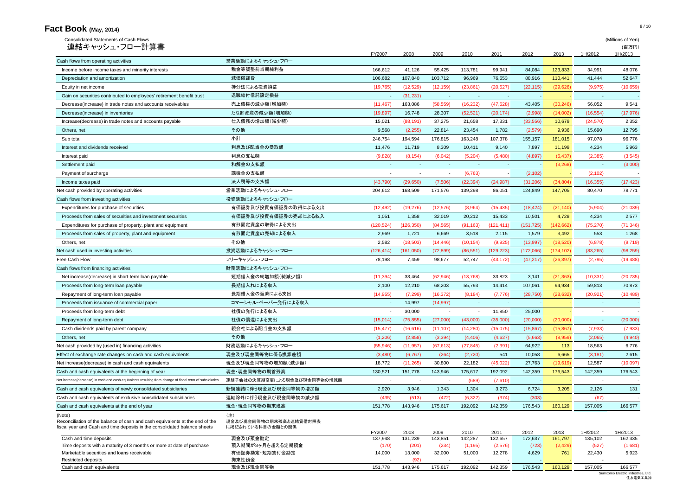| Consolidated Statements of Cash Flows<br>連結キャッシュ・フロー計算書                                                                                                             |                                                    |                   |                          |                  |                    |                  |                          |                 |                          | (Millions of Yen)<br>(百万円) |
|---------------------------------------------------------------------------------------------------------------------------------------------------------------------|----------------------------------------------------|-------------------|--------------------------|------------------|--------------------|------------------|--------------------------|-----------------|--------------------------|----------------------------|
|                                                                                                                                                                     |                                                    | FY2007            | 2008                     | 2009             | 2010               | 2011             | 2012                     | 2013            | 1H/2012                  | 1H/2013                    |
| Cash flows from operating activities                                                                                                                                | 営業活動によるキャッシュ・フロー                                   |                   |                          |                  |                    |                  |                          |                 |                          |                            |
| Income before income taxes and minority interests                                                                                                                   | 税金等調整前当期純利益                                        | 166,612           | 41,126                   | 55,425           | 113,781            | 99,941           | 84,084                   | 123,833         | 34,991                   | 48,076                     |
| Depreciation and amortization                                                                                                                                       | 減価償却費                                              | 106,682           | 107,840                  | 103,712          | 96,969             | 76,653           | 88,916                   | 110,441         | 41,444                   | 52,647                     |
| Equity in net income                                                                                                                                                | 持分法による投資損益                                         | (19, 765)         | (12, 529)                | (12, 159)        | (23, 861)          | (20,527)         | (22, 115)                | (29, 626)       | (9,975)                  | (10, 659)                  |
| Gain on securities contributed to employees' retirement benefit trust                                                                                               | 退職給付信託設定損益                                         | $\sim$            | (31, 231)                |                  |                    | $\sim$           | <b>Section</b>           |                 | $\sim$                   |                            |
| Decrease(increase) in trade notes and accounts receivables                                                                                                          | 売上債権の減少額(増加額)                                      | (11, 467)         | 163,086                  | (58, 559)        | (16, 232)          | (47, 628)        | 43,405                   | (30, 246)       | 56,052                   | 9,541                      |
| Decrease(increase) in inventories                                                                                                                                   | たな卸資産の減少額(増加額)                                     | (19, 897)         | 16,748                   | 28,307           | (52, 521)          | (20, 174)        | (2,998)                  | (14,002)        | (16, 554)                | (17, 976)                  |
| Increase(decrease) in trade notes and accounts payable                                                                                                              | 仕入債務の増加額(減少額)                                      | 15,021            | (88, 191)                | 37,275           | 21,658             | 17,331           | (33,556)                 | 10,679          | (24, 570)                | 2,352                      |
| Others, net                                                                                                                                                         | その他                                                | 9,568             | (2,255)                  | 22,814           | 23,454             | 1,782            | (2,579)                  | 9,936           | 15,690                   | 12,795                     |
| Sub total                                                                                                                                                           | 小計                                                 | 246,754           | 194,594                  | 176,815          | 163,248            | 107,378          | 155,157                  | 181,015         | 97,078                   | 96,776                     |
| Interest and dividends received                                                                                                                                     | 利息及び配当金の受取額                                        | 11,476            | 11,719                   | 8,309            | 10,411             | 9,140            | 7,897                    | 11,199          | 4,234                    | 5,963                      |
| Interest paid                                                                                                                                                       | 利息の支払額                                             | (9,828)           | (8, 154)                 | (6,042)          | (5,204)            | (5,480)          | (4,897)                  | (6, 437)        | (2,385)                  | (3,545)                    |
| Settlement paid                                                                                                                                                     | 和解金の支払額                                            | $\sim$            | $\sim$                   | ٠                | $\sim$             | $\sim$           | $\sim$                   | (3,268)         | $\sim$                   | (3,000)                    |
| Payment of surcharge                                                                                                                                                | 課徴金の支払額                                            |                   |                          |                  | (6, 763)           |                  | (2, 102)                 |                 | (2, 102)                 |                            |
| Income taxes paid                                                                                                                                                   | 法人税等の支払額                                           | (43,790)          | (29,650)                 | (7,506)          | (22, 394)          | (24, 987)        | (31, 206)                | (34, 804)       | (16, 355)                | (17, 423)                  |
| Net cash provided by operating activities                                                                                                                           | 営業活動によるキャッシュ・フロー                                   | 204,612           | 168,509                  | 171,576          | 139,298            | 86,051           | 124,849                  | 147,705         | 80,470                   | 78,771                     |
| Cash flows from investing activities                                                                                                                                | 投資活動によるキャッシュ・フロー                                   |                   |                          |                  |                    |                  |                          |                 |                          |                            |
| Expenditures for purchase of securities                                                                                                                             | 有価証券及び投資有価証券の取得による支出                               | (12, 492)         | (19,276)                 | (12, 576)        | (8,964)            | (15, 435)        | (18, 424)                | (21, 140)       | (5,904)                  | (21, 039)                  |
| Proceeds from sales of securities and investment securities                                                                                                         | 有価証券及び投資有価証券の売却による収入                               | 1,051             | 1,358                    | 32,019           | 20,212             | 15,433           | 10,501                   | 4,728           | 4,234                    | 2,577                      |
| Expenditures for purchase of property, plant and equipment                                                                                                          | 有形固定資産の取得による支出                                     | (120, 524)        | (126, 350)               | (84, 565)        | (91, 163)          | (121, 411)       | (151, 725)               | (142, 662)      | (75, 270)                | (71, 346)                  |
| Proceeds from sales of property, plant and equipment                                                                                                                | 有形固定資産の売却による収入                                     | 2,969             | 1,721                    | 6,669            | 3,518              | 2,115            | 1,579                    | 3,492           | 553                      | 1,268                      |
| Others, net                                                                                                                                                         | その他                                                | 2,582             | (18,503)                 | (14, 446)        | (10, 154)          | (9,925)          | (13,997)                 | (18, 520)       | (6,878)                  | (9,719)                    |
| Net cash used in investing activities                                                                                                                               | 投資活動によるキャッシュ・フロー                                   | (126, 414)        | (161,050)                | (72, 899)        | (86, 551)          | (129, 223)       | (172,066)                | (174, 102)      | (83, 265)                | (98, 259)                  |
| Free Cash Flow                                                                                                                                                      | フリーキャッシュ・フロー                                       | 78,198            | 7,459                    | 98,677           | 52,747             | (43, 172)        | (47, 217)                | (26, 397)       | (2,795)                  | (19, 488)                  |
| Cash flows from financing activities                                                                                                                                | 財務活動によるキャッシュ・フロー                                   |                   |                          |                  |                    |                  |                          |                 |                          |                            |
| Net increase(decrease) in short-term loan payable                                                                                                                   | 短期借入金の純増加額(純減少額)                                   | (11, 394)         | 33,464                   | (62, 946)        | (13,768)           | 33,823           | 3,141                    | (21, 363)       | (10, 331)                | (20, 735)                  |
| Proceeds from long-term loan payable                                                                                                                                | 長期借入れによる収入                                         | 2,100             | 12,210                   | 68,203           | 55,793             | 14,414           | 107,061                  | 94,934          | 59,813                   | 70,873                     |
| Repayment of long-term loan payable                                                                                                                                 | 長期借入金の返済による支出                                      | (14, 955)         | (7, 299)                 | (16, 372)        | (8, 184)           | (7,776)          | (28, 750)                | (28, 632)       | (20, 921)                | (10, 489)                  |
| Proceeds from issuance of commercial paper                                                                                                                          | コマーシャル・ペーパー発行による収入                                 |                   | 14,997                   | (14, 997)        |                    | $\blacksquare$   | $\overline{\phantom{a}}$ |                 |                          |                            |
| Proceeds from long-term debt                                                                                                                                        | 社債の発行による収入                                         |                   | 30,000                   | $\blacksquare$   |                    | 11,850           | 25,000                   |                 | $\overline{\phantom{a}}$ |                            |
| Repayment of long-term debt                                                                                                                                         | 社債の償還による支出                                         | (15,014)          | (75, 855)                | (27,000)         | (43,000)           | (35,000)         | (20,000)                 | (20,000)        |                          | (20,000)                   |
| Cash dividends paid by parent company                                                                                                                               | 親会社による配当金の支払額                                      | (15, 477)         | (16,616)                 | (11, 107)        | (14,280)           | (15,075)         | (15, 867)                | (15, 867)       | (7,933)                  | (7, 933)                   |
| Others, net                                                                                                                                                         | その他                                                | (1,206)           | (2,858)                  | (3, 394)         | (4, 406)           | (4,627)          | (5,663)                  | (8,959)         | (2,065)                  | (4,940)                    |
| Net cash provided by (used in) financing activities                                                                                                                 | 財務活動によるキャッシュ・フロー                                   | (55, 946)         | (11, 957)                | (67, 613)        | (27, 845)          | (2, 391)         | 64,922                   | 113             | 18,563                   | 6,776                      |
| Effect of exchange rate changes on cash and cash equivalents                                                                                                        | 現金及び現金同等物に係る換算差額                                   | (3,480)           | (6, 767)                 | (264)            | (2,720)            | 541              | 10,058                   | 6,665           | (3, 181)                 | 2,615                      |
| Net increase(decrease) in cash and cash equivalents                                                                                                                 | 現金及び現金同等物の増加額(減少額)                                 | 18,772            | (11, 265)                | 30,800           | 22,182             | (45, 022)        | 27,763                   | (19,619)        | 12,587                   | (10,097)                   |
| Cash and cash equivalents at the beginning of year                                                                                                                  | 現金・現金同等物の期首残高                                      | 130,521           | 151,778                  | 143,946          | 175,617            | 192,092          | 142,359                  | 176,543         | 142,359                  | 176,543                    |
| Net increase(decrease) in cash and cash equivalents resulting from change of fiscal term of subsidiaries                                                            | 連結子会社の決算期変更による現金及び現金同等物の増減額                        | $\sim$            | $\overline{\phantom{a}}$ |                  | (689)              | (7,610)          | $\sim$                   |                 | $\overline{\phantom{a}}$ |                            |
| Cash and cash equivalents of newly consolidated subsidiaries                                                                                                        | 新規連結に伴う現金及び現金同等物の増加額                               | 2,920             | 3,946                    | 1,343            | 1,304              | 3,273            | 6,724                    | 3,205           | 2,126                    | 131                        |
|                                                                                                                                                                     | 連結除外に伴う現金及び現金同等物の減少額                               |                   |                          |                  |                    |                  |                          |                 |                          |                            |
| Cash and cash equivalents of exclusive consolidated subsidiaries<br>Cash and cash equivalents at the end of year                                                    | 現金・現金同等物の期末残高                                      | (435)<br>151,778  | (513)<br>143,946         | (472)<br>175,617 | (6,322)<br>192,092 | (374)<br>142,359 | (303)<br>176,543         | 160,129         | (67)<br>157,005          | 166,577                    |
| (Note)<br>Reconciliation of the balance of cash and cash equivalents at the end of the<br>fiscal year and Cash and time deposits in the consolidated balance sheets | (注)<br>現金及び現金同等物の期末残高と連結貸借対照表<br>に掲記されている科目の金額との関係 |                   |                          |                  |                    |                  |                          |                 |                          |                            |
| Cash and time deposits                                                                                                                                              | 現金及び預金勘定                                           | FY2007<br>137,948 | 2008<br>131,239          | 2009<br>143,851  | 2010<br>142,287    | 2011<br>132,657  | 2012<br>172,637          | 2013<br>161,797 | 1H/2012<br>135,102       | 1H/2013<br>162,335         |
| Time deposits with a maturity of 3 months or more at date of purchase                                                                                               | 預入期間が3ヶ月を超える定期預金                                   | (170)             | (201)                    | (234)            | (1, 195)           | (2,576)          | (723)                    | (2,429)         | (527)                    | (1,681)                    |
| Marketable securities and loans receivable                                                                                                                          | 有価証券勘定·短期貸付金勘定                                     | 14,000            | 13,000                   | 32,000           | 51,000             | 12,278           | 4,629                    | 761             | 22,430                   | 5,923                      |
| Restricted deposits                                                                                                                                                 | 拘束性預金                                              |                   | (92)                     |                  |                    |                  |                          |                 |                          |                            |
| Cash and cash equivalents                                                                                                                                           | 現金及び現金同等物                                          | 151,778           | 143,946                  | 175,617          | 192,092            | 142,359          | 176,543                  | 160,129         | 157,005                  |                            |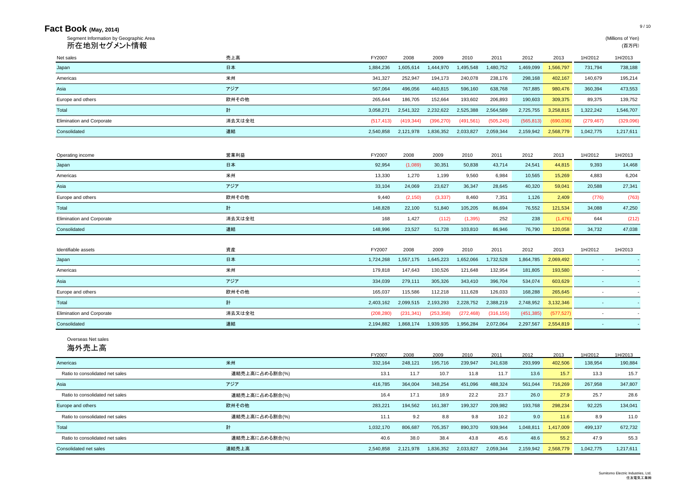| Fact Book (May, 2014)                                 |                |            |            |            |            |            |            |            |            | 9/10                       |
|-------------------------------------------------------|----------------|------------|------------|------------|------------|------------|------------|------------|------------|----------------------------|
| Segment Information by Geographic Area<br>所在地別セグメント情報 |                |            |            |            |            |            |            |            |            | (Millions of Yen)<br>(百万円) |
| Net sales                                             | 売上高            | FY2007     | 2008       | 2009       | 2010       | 2011       | 2012       | 2013       | 1H/2012    | 1H/2013                    |
| Japan                                                 | 日本             | 1,884,236  | 1,605,614  | 1,444,970  | 1,495,548  | 1,480,752  | 1,469,099  | 1,566,797  | 731,794    | 738,188                    |
| Americas                                              | 米州             | 341,327    | 252,947    | 194,173    | 240,078    | 238,176    | 298,168    | 402,167    | 140.679    | 195,214                    |
| Asia                                                  | アジア            | 567,064    | 496,056    | 440,815    | 596,160    | 638,768    | 767,885    | 980,476    | 360,394    | 473,553                    |
| Europe and others                                     | 欧州その他          | 265,644    | 186,705    | 152,664    | 193,602    | 206,893    | 190,603    | 309,375    | 89,375     | 139,752                    |
| Total                                                 | 計              | 3,058,271  | 2,541,322  | 2,232,622  | 2,525,388  | 2,564,589  | 2,725,755  | 3,258,815  | 1,322,242  | 1,546,707                  |
| <b>Elimination and Corporate</b>                      | 消去又は全社         | (517, 413) | (419, 344) | (396, 270) | (491, 561) | (505, 245) | (565, 813) | (690, 036) | (279, 467) | (329,096)                  |
| Consolidated                                          | 連結             | 2,540,858  | 2,121,978  | 1,836,352  | 2,033,827  | 2,059,344  | 2,159,942  | 2,568,779  | 1,042,775  | 1,217,611                  |
| Operating income                                      | 営業利益           | FY2007     | 2008       | 2009       | 2010       | 2011       | 2012       | 2013       | 1H/2012    | 1H/2013                    |
| Japan                                                 | 日本             | 92,954     | (1,089)    | 30,351     | 50,838     | 43,714     | 24,541     | 44,815     | 9,393      | 14,468                     |
| Americas                                              | 米州             | 13,330     | 1,270      | 1,199      | 9,560      | 6,984      | 10,565     | 15,269     | 4,883      | 6,204                      |
| Asia                                                  | アジア            | 33,104     | 24,069     | 23,627     | 36,347     | 28,645     | 40,320     | 59,041     | 20,588     | 27,341                     |
| Europe and others                                     | 欧州その他          | 9,440      | (2, 150)   | (3, 337)   | 8,460      | 7,351      | 1,126      | 2,409      | (776)      | (763)                      |
| Total                                                 | 計              | 148,828    | 22,100     | 51,840     | 105,205    | 86,694     | 76,552     | 121,534    | 34,088     | 47,250                     |
| <b>Elimination and Corporate</b>                      | 消去又は全社         | 168        | 1,427      | (112)      | (1, 395)   | 252        | 238        | (1, 476)   | 644        | (212)                      |
| Consolidated                                          | 連結             | 148,996    | 23,527     | 51,728     | 103,810    | 86,946     | 76,790     | 120,058    | 34,732     | 47,038                     |
| Identifiable assets                                   | 資産             | FY2007     | 2008       | 2009       | 2010       | 2011       | 2012       | 2013       | 1H/2012    | 1H/2013                    |
| Japan                                                 | 日本             | 1,724,268  | 1,557,175  | 1,645,223  | 1,652,066  | 1,732,528  | 1,864,785  | 2,069,492  | $\sim$     |                            |
| Americas                                              | 米州             | 179,818    | 147,643    | 130,526    | 121,648    | 132,954    | 181,805    | 193,580    | ٠          |                            |
| Asia                                                  | アジア            | 334,039    | 279,111    | 305,326    | 343,410    | 396,704    | 534,074    | 603,629    | $\sim$     |                            |
| Europe and others                                     | 欧州その他          | 165,037    | 115,586    | 112,218    | 111,628    | 126,033    | 168.288    | 265,645    | $\sim$     |                            |
| <b>Total</b>                                          | 計              | 2,403,162  | 2,099,515  | 2,193,293  | 2,228,752  | 2,388,219  | 2,748,952  | 3,132,346  | ÷.         |                            |
| <b>Elimination and Corporate</b>                      | 消去又は全社         | (208, 280) | (231, 341) | (253, 358) | (272, 468) | (316, 155) | (451, 385) | (577, 527) | $\sim$     |                            |
| Consolidated                                          | 連結             | 2,194,882  | 1,868,174  | 1,939,935  | 1,956,284  | 2,072,064  | 2,297,567  | 2,554,819  | $\sim$     |                            |
| Overseas Net sales<br>海外売上高                           |                | FY2007     | 2008       | 2009       | 2010       | 2011       | 2012       | 2013       | 1H/2012    | 1H/2013                    |
| Americas                                              | 米州             | 332,164    | 248,121    | 195,716    | 239,947    | 241,638    | 293,999    | 402,506    | 138,954    | 190,884                    |
| Ratio to consolidated net sales                       | 連結売上高に占める割合(%) | 13.1       | 11.7       | 10.7       | 11.8       | 11.7       | 13.6       | 15.7       | 13.3       | 15.7                       |
| Asia                                                  | アジア            | 416,785    | 364,004    | 348,254    | 451,096    | 488,324    | 561,044    | 716,269    | 267,958    | 347,807                    |
| Ratio to consolidated net sales                       | 連結売上高に占める割合(%) | 16.4       | 17.1       | 18.9       | 22.2       | 23.7       | 26.0       | 27.9       | 25.7       | 28.6                       |
| Europe and others                                     | 欧州その他          | 283,221    | 194,562    | 161,387    | 199,327    | 209,982    | 193,768    | 298,234    | 92,225     | 134,041                    |
| Ratio to consolidated net sales                       | 連結売上高に占める割合(%) | 11.1       | 9.2        | 8.8        | 9.8        | 10.2       | 9.0        | 11.6       | 8.9        | 11.0                       |
| Total                                                 | 計              | 1,032,170  | 806,687    | 705,357    | 890,370    | 939,944    | 1,048,811  | 1,417,009  | 499,137    | 672,732                    |
| Ratio to consolidated net sales                       | 連結売上高に占める割合(%) | 40.6       | 38.0       | 38.4       | 43.8       | 45.6       | 48.6       | 55.2       | 47.9       | 55.3                       |
| Consolidated net sales                                | 連結売上高          | 2,540,858  | 2,121,978  | 1,836,352  | 2,033,827  | 2,059,344  | 2,159,942  | 2,568,779  | 1,042,775  | 1,217,611                  |